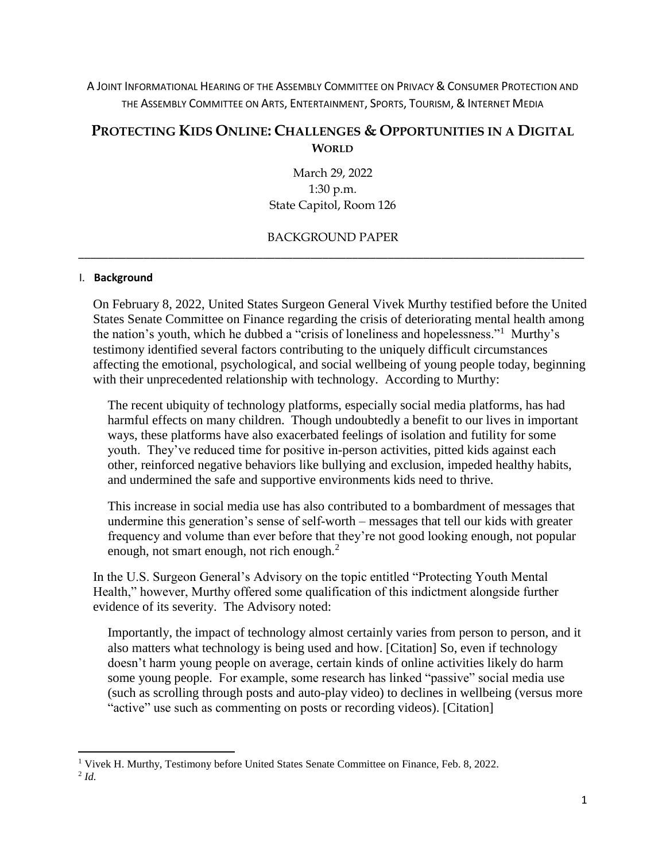A JOINT INFORMATIONAL HEARING OF THE ASSEMBLY COMMITTEE ON PRIVACY & CONSUMER PROTECTION AND THE ASSEMBLY COMMITTEE ON ARTS, ENTERTAINMENT, SPORTS, TOURISM, & INTERNET MEDIA

# **PROTECTING KIDS ONLINE: CHALLENGES & OPPORTUNITIES IN A DIGITAL WORLD**

March 29, 2022 1:30 p.m. State Capitol, Room 126

# BACKGROUND PAPER \_\_\_\_\_\_\_\_\_\_\_\_\_\_\_\_\_\_\_\_\_\_\_\_\_\_\_\_\_\_\_\_\_\_\_\_\_\_\_\_\_\_\_\_\_\_\_\_\_\_\_\_\_\_\_\_\_\_\_\_\_\_\_\_\_\_\_\_\_\_\_\_\_\_\_\_\_\_\_\_\_\_\_\_\_

#### I. **Background**

 $\overline{a}$ 

On February 8, 2022, United States Surgeon General Vivek Murthy testified before the United States Senate Committee on Finance regarding the crisis of deteriorating mental health among the nation's youth, which he dubbed a "crisis of loneliness and hopelessness."<sup>1</sup> Murthy's testimony identified several factors contributing to the uniquely difficult circumstances affecting the emotional, psychological, and social wellbeing of young people today, beginning with their unprecedented relationship with technology. According to Murthy:

The recent ubiquity of technology platforms, especially social media platforms, has had harmful effects on many children. Though undoubtedly a benefit to our lives in important ways, these platforms have also exacerbated feelings of isolation and futility for some youth. They've reduced time for positive in-person activities, pitted kids against each other, reinforced negative behaviors like bullying and exclusion, impeded healthy habits, and undermined the safe and supportive environments kids need to thrive.

This increase in social media use has also contributed to a bombardment of messages that undermine this generation's sense of self-worth – messages that tell our kids with greater frequency and volume than ever before that they're not good looking enough, not popular enough, not smart enough, not rich enough.<sup>2</sup>

In the U.S. Surgeon General's Advisory on the topic entitled "Protecting Youth Mental Health," however, Murthy offered some qualification of this indictment alongside further evidence of its severity. The Advisory noted:

Importantly, the impact of technology almost certainly varies from person to person, and it also matters what technology is being used and how. [Citation] So, even if technology doesn't harm young people on average, certain kinds of online activities likely do harm some young people.For example, some research has linked "passive" social media use (such as scrolling through posts and auto-play video) to declines in wellbeing (versus more "active" use such as commenting on posts or recording videos). [Citation]

<sup>&</sup>lt;sup>1</sup> Vivek H. Murthy, Testimony before United States Senate Committee on Finance, Feb. 8, 2022. 2 *Id.*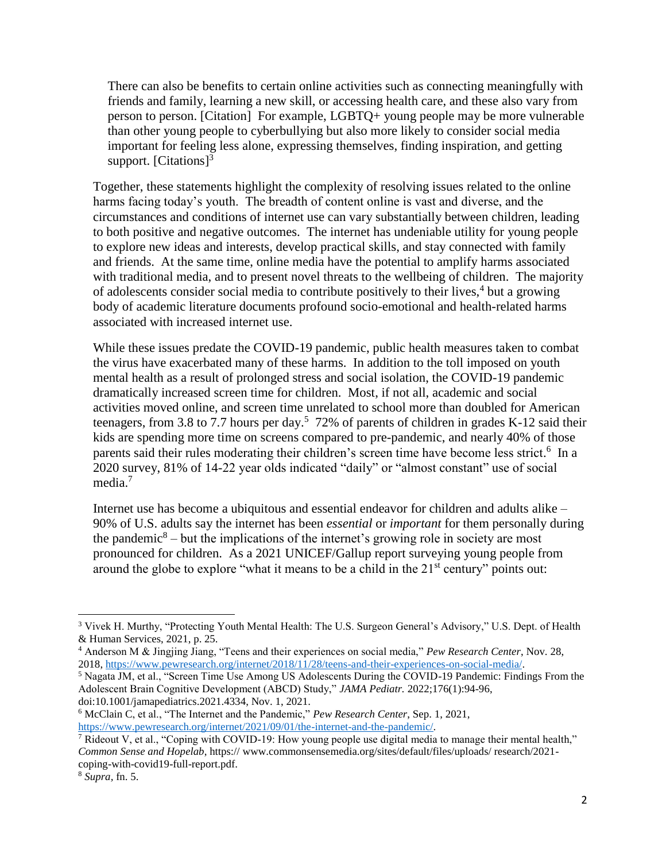There can also be benefits to certain online activities such as connecting meaningfully with friends and family, learning a new skill, or accessing health care, and these also vary from person to person. [Citation] For example, LGBTQ+ young people may be more vulnerable than other young people to cyberbullying but also more likely to consider social media important for feeling less alone, expressing themselves, finding inspiration, and getting support. [Citations]<sup>3</sup>

Together, these statements highlight the complexity of resolving issues related to the online harms facing today's youth. The breadth of content online is vast and diverse, and the circumstances and conditions of internet use can vary substantially between children, leading to both positive and negative outcomes. The internet has undeniable utility for young people to explore new ideas and interests, develop practical skills, and stay connected with family and friends. At the same time, online media have the potential to amplify harms associated with traditional media, and to present novel threats to the wellbeing of children. The majority of adolescents consider social media to contribute positively to their lives,<sup>4</sup> but a growing body of academic literature documents profound socio-emotional and health-related harms associated with increased internet use.

While these issues predate the COVID-19 pandemic, public health measures taken to combat the virus have exacerbated many of these harms. In addition to the toll imposed on youth mental health as a result of prolonged stress and social isolation, the COVID-19 pandemic dramatically increased screen time for children. Most, if not all, academic and social activities moved online, and screen time unrelated to school more than doubled for American teenagers, from 3.8 to 7.7 hours per day.<sup>5</sup> 72% of parents of children in grades K-12 said their kids are spending more time on screens compared to pre-pandemic, and nearly 40% of those parents said their rules moderating their children's screen time have become less strict.<sup>6</sup> In a 2020 survey, 81% of 14-22 year olds indicated "daily" or "almost constant" use of social media.<sup>7</sup>

Internet use has become a ubiquitous and essential endeavor for children and adults alike – 90% of U.S. adults say the internet has been *essential* or *important* for them personally during the pandemic<sup>8</sup> – but the implications of the internet's growing role in society are most pronounced for children. As a 2021 UNICEF/Gallup report surveying young people from around the globe to explore "what it means to be a child in the  $21<sup>st</sup>$  century" points out:

 $\overline{\phantom{a}}$ 

<sup>3</sup> Vivek H. Murthy, "Protecting Youth Mental Health: The U.S. Surgeon General's Advisory," U.S. Dept. of Health & Human Services, 2021, p. 25.

<sup>4</sup> Anderson M & Jingjing Jiang, "Teens and their experiences on social media," *Pew Research Center*, Nov. 28, 2018, [https://www.pewresearch.org/internet/2018/11/28/teens-and-their-experiences-on-social-media/.](https://www.pewresearch.org/internet/2018/11/28/teens-and-their-experiences-on-social-media/)

<sup>5</sup> Nagata JM, et al., "Screen Time Use Among US Adolescents During the COVID-19 Pandemic: Findings From the Adolescent Brain Cognitive Development (ABCD) Study," *JAMA Pediatr.* 2022;176(1):94-96, doi:10.1001/jamapediatrics.2021.4334, Nov. 1, 2021.

<sup>6</sup> McClain C, et al., "The Internet and the Pandemic," *Pew Research Center*, Sep. 1, 2021, [https://www.pewresearch.org/internet/2021/09/01/the-internet-and-the-pandemic/.](https://www.pewresearch.org/internet/2021/09/01/the-internet-and-the-pandemic/)

 $\overline{7}$  Rideout V, et al., "Coping with COVID-19: How young people use digital media to manage their mental health," *Common Sense and Hopelab*, https:// www.commonsensemedia.org/sites/default/files/uploads/ research/2021 coping-with-covid19-full-report.pdf.

<sup>8</sup> *Supra,* fn. 5.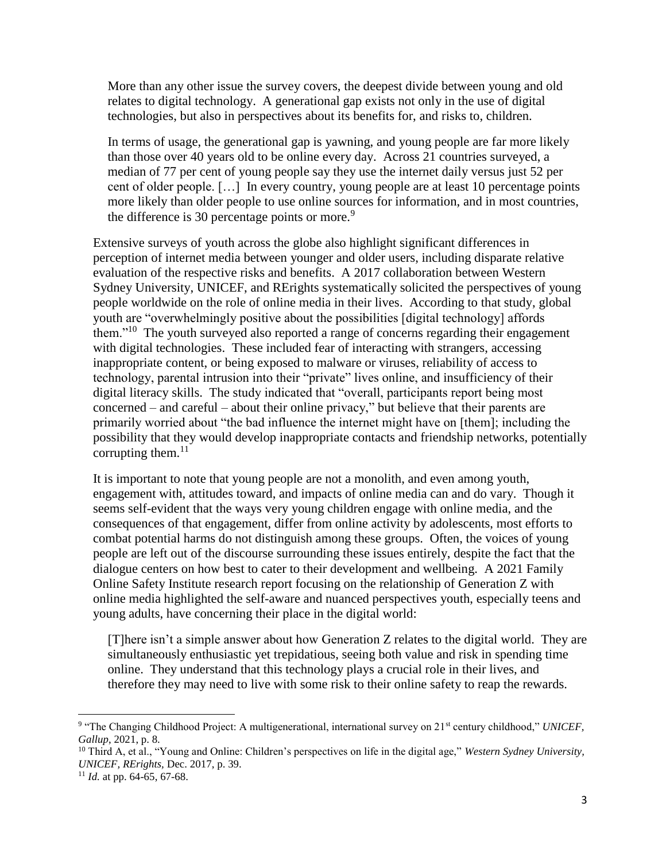More than any other issue the survey covers, the deepest divide between young and old relates to digital technology. A generational gap exists not only in the use of digital technologies, but also in perspectives about its benefits for, and risks to, children.

In terms of usage, the generational gap is yawning, and young people are far more likely than those over 40 years old to be online every day. Across 21 countries surveyed, a median of 77 per cent of young people say they use the internet daily versus just 52 per cent of older people. […] In every country, young people are at least 10 percentage points more likely than older people to use online sources for information, and in most countries, the difference is 30 percentage points or more.<sup>9</sup>

Extensive surveys of youth across the globe also highlight significant differences in perception of internet media between younger and older users, including disparate relative evaluation of the respective risks and benefits. A 2017 collaboration between Western Sydney University, UNICEF, and RErights systematically solicited the perspectives of young people worldwide on the role of online media in their lives. According to that study, global youth are "overwhelmingly positive about the possibilities [digital technology] affords them."<sup>10</sup> The youth surveyed also reported a range of concerns regarding their engagement with digital technologies. These included fear of interacting with strangers, accessing inappropriate content, or being exposed to malware or viruses, reliability of access to technology, parental intrusion into their "private" lives online, and insufficiency of their digital literacy skills. The study indicated that "overall, participants report being most concerned – and careful – about their online privacy," but believe that their parents are primarily worried about "the bad influence the internet might have on [them]; including the possibility that they would develop inappropriate contacts and friendship networks, potentially corrupting them. $^{11}$ 

It is important to note that young people are not a monolith, and even among youth, engagement with, attitudes toward, and impacts of online media can and do vary. Though it seems self-evident that the ways very young children engage with online media, and the consequences of that engagement, differ from online activity by adolescents, most efforts to combat potential harms do not distinguish among these groups. Often, the voices of young people are left out of the discourse surrounding these issues entirely, despite the fact that the dialogue centers on how best to cater to their development and wellbeing. A 2021 Family Online Safety Institute research report focusing on the relationship of Generation Z with online media highlighted the self-aware and nuanced perspectives youth, especially teens and young adults, have concerning their place in the digital world:

[T]here isn't a simple answer about how Generation Z relates to the digital world. They are simultaneously enthusiastic yet trepidatious, seeing both value and risk in spending time online. They understand that this technology plays a crucial role in their lives, and therefore they may need to live with some risk to their online safety to reap the rewards.

l

<sup>&</sup>lt;sup>9</sup> "The Changing Childhood Project: A multigenerational, international survey on 21<sup>st</sup> century childhood," *UNICEF*, *Gallup*, 2021, p. 8.

<sup>10</sup> Third A, et al., "Young and Online: Children's perspectives on life in the digital age," *Western Sydney University, UNICEF, RErights,* Dec. 2017, p. 39.

<sup>11</sup> *Id.* at pp. 64-65, 67-68.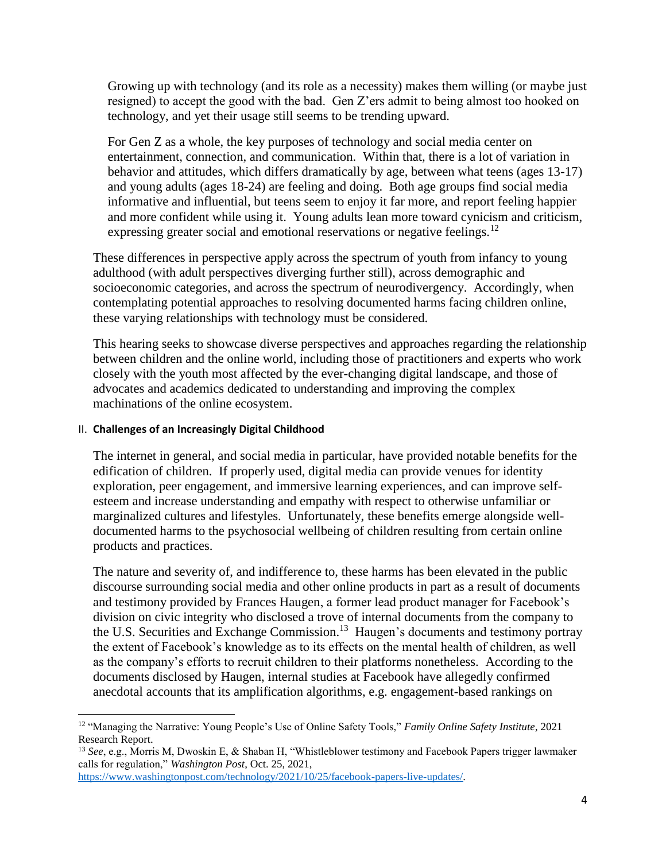Growing up with technology (and its role as a necessity) makes them willing (or maybe just resigned) to accept the good with the bad. Gen Z'ers admit to being almost too hooked on technology, and yet their usage still seems to be trending upward.

For Gen Z as a whole, the key purposes of technology and social media center on entertainment, connection, and communication. Within that, there is a lot of variation in behavior and attitudes, which differs dramatically by age, between what teens (ages 13-17) and young adults (ages 18-24) are feeling and doing. Both age groups find social media informative and influential, but teens seem to enjoy it far more, and report feeling happier and more confident while using it. Young adults lean more toward cynicism and criticism, expressing greater social and emotional reservations or negative feelings.<sup>12</sup>

These differences in perspective apply across the spectrum of youth from infancy to young adulthood (with adult perspectives diverging further still), across demographic and socioeconomic categories, and across the spectrum of neurodivergency. Accordingly, when contemplating potential approaches to resolving documented harms facing children online, these varying relationships with technology must be considered.

This hearing seeks to showcase diverse perspectives and approaches regarding the relationship between children and the online world, including those of practitioners and experts who work closely with the youth most affected by the ever-changing digital landscape, and those of advocates and academics dedicated to understanding and improving the complex machinations of the online ecosystem.

## II. **Challenges of an Increasingly Digital Childhood**

l

The internet in general, and social media in particular, have provided notable benefits for the edification of children. If properly used, digital media can provide venues for identity exploration, peer engagement, and immersive learning experiences, and can improve selfesteem and increase understanding and empathy with respect to otherwise unfamiliar or marginalized cultures and lifestyles. Unfortunately, these benefits emerge alongside welldocumented harms to the psychosocial wellbeing of children resulting from certain online products and practices.

The nature and severity of, and indifference to, these harms has been elevated in the public discourse surrounding social media and other online products in part as a result of documents and testimony provided by Frances Haugen, a former lead product manager for Facebook's division on civic integrity who disclosed a trove of internal documents from the company to the U.S. Securities and Exchange Commission.<sup>13</sup> Haugen's documents and testimony portray the extent of Facebook's knowledge as to its effects on the mental health of children, as well as the company's efforts to recruit children to their platforms nonetheless. According to the documents disclosed by Haugen, internal studies at Facebook have allegedly confirmed anecdotal accounts that its amplification algorithms, e.g. engagement-based rankings on

[https://www.washingtonpost.com/technology/2021/10/25/facebook-papers-live-updates/.](https://www.washingtonpost.com/technology/2021/10/25/facebook-papers-live-updates/)

<sup>12</sup> "Managing the Narrative: Young People's Use of Online Safety Tools," *Family Online Safety Institute*, 2021 Research Report.

<sup>13</sup> *See*, e.g., Morris M, Dwoskin E, & Shaban H, "Whistleblower testimony and Facebook Papers trigger lawmaker calls for regulation," *Washington Post*, Oct. 25, 2021,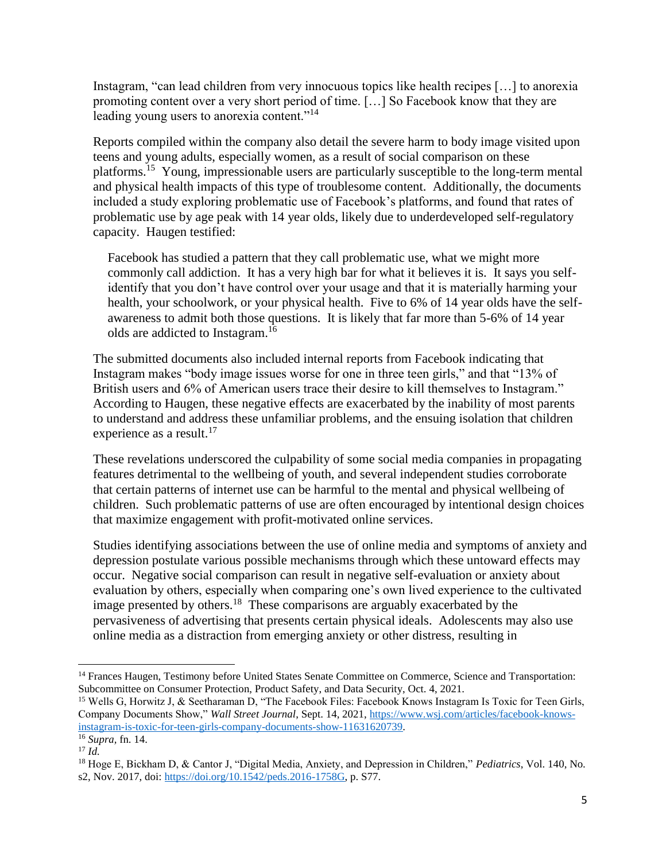Instagram, "can lead children from very innocuous topics like health recipes […] to anorexia promoting content over a very short period of time. […] So Facebook know that they are leading young users to anorexia content."<sup>14</sup>

Reports compiled within the company also detail the severe harm to body image visited upon teens and young adults, especially women, as a result of social comparison on these platforms.<sup>15</sup> Young, impressionable users are particularly susceptible to the long-term mental and physical health impacts of this type of troublesome content. Additionally, the documents included a study exploring problematic use of Facebook's platforms, and found that rates of problematic use by age peak with 14 year olds, likely due to underdeveloped self-regulatory capacity. Haugen testified:

Facebook has studied a pattern that they call problematic use, what we might more commonly call addiction. It has a very high bar for what it believes it is. It says you selfidentify that you don't have control over your usage and that it is materially harming your health, your schoolwork, or your physical health. Five to 6% of 14 year olds have the selfawareness to admit both those questions. It is likely that far more than 5-6% of 14 year olds are addicted to Instagram.<sup>16</sup>

The submitted documents also included internal reports from Facebook indicating that Instagram makes "body image issues worse for one in three teen girls," and that "13% of British users and 6% of American users trace their desire to kill themselves to Instagram." According to Haugen, these negative effects are exacerbated by the inability of most parents to understand and address these unfamiliar problems, and the ensuing isolation that children experience as a result.<sup>17</sup>

These revelations underscored the culpability of some social media companies in propagating features detrimental to the wellbeing of youth, and several independent studies corroborate that certain patterns of internet use can be harmful to the mental and physical wellbeing of children. Such problematic patterns of use are often encouraged by intentional design choices that maximize engagement with profit-motivated online services.

Studies identifying associations between the use of online media and symptoms of anxiety and depression postulate various possible mechanisms through which these untoward effects may occur. Negative social comparison can result in negative self-evaluation or anxiety about evaluation by others, especially when comparing one's own lived experience to the cultivated image presented by others.<sup>18</sup> These comparisons are arguably exacerbated by the pervasiveness of advertising that presents certain physical ideals. Adolescents may also use online media as a distraction from emerging anxiety or other distress, resulting in

 $\overline{\phantom{a}}$ <sup>14</sup> Frances Haugen, Testimony before United States Senate Committee on Commerce, Science and Transportation: Subcommittee on Consumer Protection, Product Safety, and Data Security, Oct. 4, 2021.

<sup>&</sup>lt;sup>15</sup> Wells G, Horwitz J, & Seetharaman D, "The Facebook Files: Facebook Knows Instagram Is Toxic for Teen Girls, Company Documents Show," *Wall Street Journal*, Sept. 14, 2021, [https://www.wsj.com/articles/facebook-knows](https://www.wsj.com/articles/facebook-knows-instagram-is-toxic-for-teen-girls-company-documents-show-11631620739)[instagram-is-toxic-for-teen-girls-company-documents-show-11631620739.](https://www.wsj.com/articles/facebook-knows-instagram-is-toxic-for-teen-girls-company-documents-show-11631620739)

<sup>16</sup> *Supra,* fn. 14.

 $^{17}$  *Id.* 

<sup>18</sup> Hoge E, Bickham D, & Cantor J, "Digital Media, Anxiety, and Depression in Children," *Pediatrics*, Vol. 140, No. s2, Nov. 2017, doi: [https://doi.org/10.1542/peds.2016-1758G,](https://doi.org/10.1542/peds.2016-1758G) p. S77.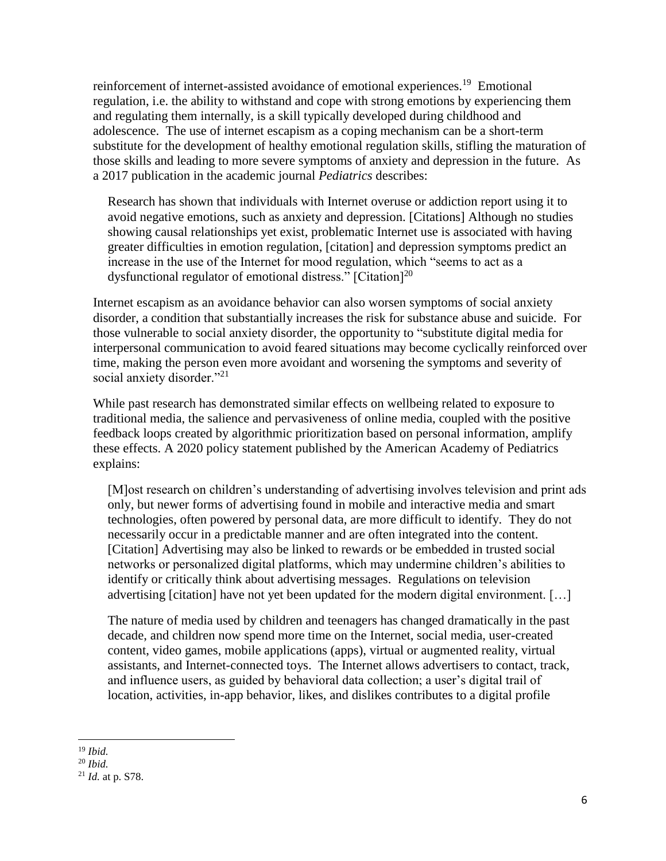reinforcement of internet-assisted avoidance of emotional experiences.<sup>19</sup> Emotional regulation, i.e. the ability to withstand and cope with strong emotions by experiencing them and regulating them internally, is a skill typically developed during childhood and adolescence. The use of internet escapism as a coping mechanism can be a short-term substitute for the development of healthy emotional regulation skills, stifling the maturation of those skills and leading to more severe symptoms of anxiety and depression in the future. As a 2017 publication in the academic journal *Pediatrics* describes:

Research has shown that individuals with Internet overuse or addiction report using it to avoid negative emotions, such as anxiety and depression. [Citations] Although no studies showing causal relationships yet exist, problematic Internet use is associated with having greater difficulties in emotion regulation, [citation] and depression symptoms predict an increase in the use of the Internet for mood regulation, which "seems to act as a dysfunctional regulator of emotional distress." [Citation]<sup>20</sup>

Internet escapism as an avoidance behavior can also worsen symptoms of social anxiety disorder, a condition that substantially increases the risk for substance abuse and suicide. For those vulnerable to social anxiety disorder, the opportunity to "substitute digital media for interpersonal communication to avoid feared situations may become cyclically reinforced over time, making the person even more avoidant and worsening the symptoms and severity of social anxiety disorder."<sup>21</sup>

While past research has demonstrated similar effects on wellbeing related to exposure to traditional media, the salience and pervasiveness of online media, coupled with the positive feedback loops created by algorithmic prioritization based on personal information, amplify these effects. A 2020 policy statement published by the American Academy of Pediatrics explains:

[M]ost research on children's understanding of advertising involves television and print ads only, but newer forms of advertising found in mobile and interactive media and smart technologies, often powered by personal data, are more difficult to identify. They do not necessarily occur in a predictable manner and are often integrated into the content. [Citation] Advertising may also be linked to rewards or be embedded in trusted social networks or personalized digital platforms, which may undermine children's abilities to identify or critically think about advertising messages. Regulations on television advertising [citation] have not yet been updated for the modern digital environment. […]

The nature of media used by children and teenagers has changed dramatically in the past decade, and children now spend more time on the Internet, social media, user-created content, video games, mobile applications (apps), virtual or augmented reality, virtual assistants, and Internet-connected toys. The Internet allows advertisers to contact, track, and influence users, as guided by behavioral data collection; a user's digital trail of location, activities, in-app behavior, likes, and dislikes contributes to a digital profile

 $\overline{\phantom{a}}$ 

<sup>19</sup> *Ibid.*

<sup>20</sup> *Ibid.*

<sup>21</sup> *Id.* at p. S78.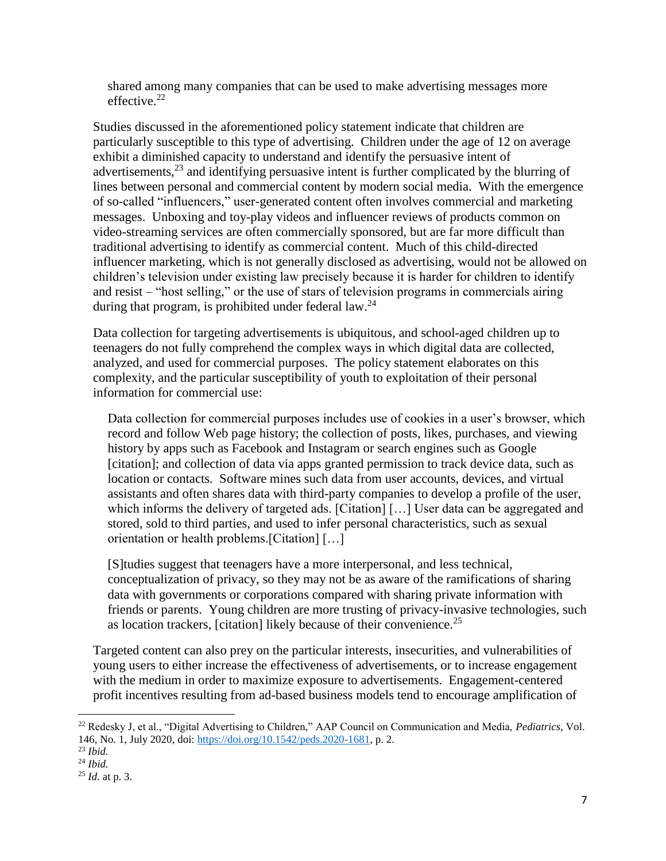shared among many companies that can be used to make advertising messages more effective.<sup>22</sup>

Studies discussed in the aforementioned policy statement indicate that children are particularly susceptible to this type of advertising. Children under the age of 12 on average exhibit a diminished capacity to understand and identify the persuasive intent of advertisements,  $^{23}$  and identifying persuasive intent is further complicated by the blurring of lines between personal and commercial content by modern social media. With the emergence of so-called "influencers," user-generated content often involves commercial and marketing messages. Unboxing and toy-play videos and influencer reviews of products common on video-streaming services are often commercially sponsored, but are far more difficult than traditional advertising to identify as commercial content. Much of this child-directed influencer marketing, which is not generally disclosed as advertising, would not be allowed on children's television under existing law precisely because it is harder for children to identify and resist – "host selling," or the use of stars of television programs in commercials airing during that program, is prohibited under federal law.<sup>24</sup>

Data collection for targeting advertisements is ubiquitous, and school-aged children up to teenagers do not fully comprehend the complex ways in which digital data are collected, analyzed, and used for commercial purposes. The policy statement elaborates on this complexity, and the particular susceptibility of youth to exploitation of their personal information for commercial use:

Data collection for commercial purposes includes use of cookies in a user's browser, which record and follow Web page history; the collection of posts, likes, purchases, and viewing history by apps such as Facebook and Instagram or search engines such as Google [citation]; and collection of data via apps granted permission to track device data, such as location or contacts. Software mines such data from user accounts, devices, and virtual assistants and often shares data with third-party companies to develop a profile of the user, which informs the delivery of targeted ads. [Citation] [...] User data can be aggregated and stored, sold to third parties, and used to infer personal characteristics, such as sexual orientation or health problems.[Citation] […]

[S]tudies suggest that teenagers have a more interpersonal, and less technical, conceptualization of privacy, so they may not be as aware of the ramifications of sharing data with governments or corporations compared with sharing private information with friends or parents. Young children are more trusting of privacy-invasive technologies, such as location trackers, [citation] likely because of their convenience.<sup>25</sup>

Targeted content can also prey on the particular interests, insecurities, and vulnerabilities of young users to either increase the effectiveness of advertisements, or to increase engagement with the medium in order to maximize exposure to advertisements. Engagement-centered profit incentives resulting from ad-based business models tend to encourage amplification of

l

<sup>22</sup> Redesky J, et al., "Digital Advertising to Children," AAP Council on Communication and Media, *Pediatrics*, Vol. 146, No. 1, July 2020, doi: [https://doi.org/10.1542/peds.2020-1681,](https://doi.org/10.1542/peds.2020-1681) p. 2.

<sup>23</sup> *Ibid.*

<sup>24</sup> *Ibid.*

<sup>25</sup> *Id.* at p. 3.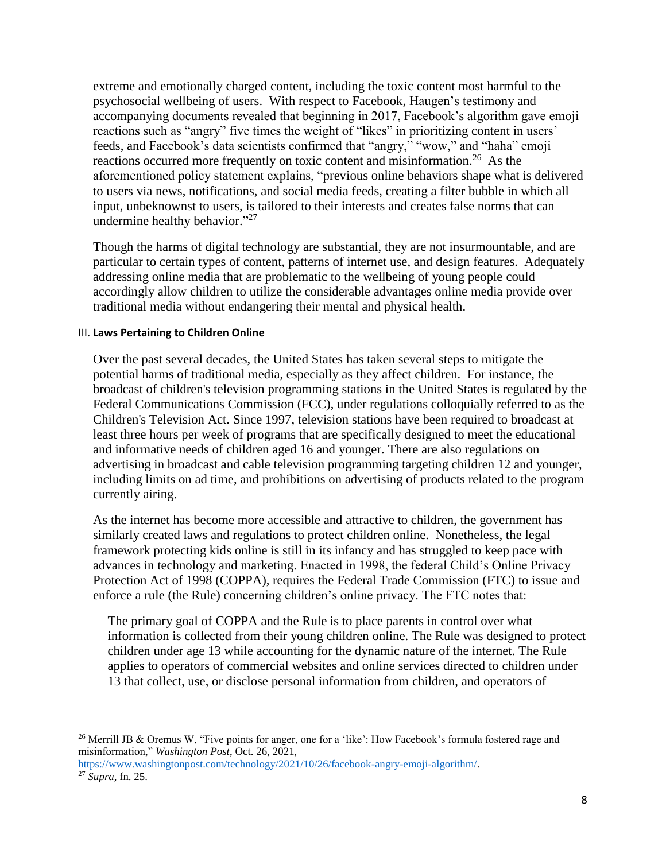extreme and emotionally charged content, including the toxic content most harmful to the psychosocial wellbeing of users. With respect to Facebook, Haugen's testimony and accompanying documents revealed that beginning in 2017, Facebook's algorithm gave emoji reactions such as "angry" five times the weight of "likes" in prioritizing content in users' feeds, and Facebook's data scientists confirmed that "angry," "wow," and "haha" emoji reactions occurred more frequently on toxic content and misinformation.<sup>26</sup> As the aforementioned policy statement explains, "previous online behaviors shape what is delivered to users via news, notifications, and social media feeds, creating a filter bubble in which all input, unbeknownst to users, is tailored to their interests and creates false norms that can undermine healthy behavior."<sup>27</sup>

Though the harms of digital technology are substantial, they are not insurmountable, and are particular to certain types of content, patterns of internet use, and design features. Adequately addressing online media that are problematic to the wellbeing of young people could accordingly allow children to utilize the considerable advantages online media provide over traditional media without endangering their mental and physical health.

#### III. **Laws Pertaining to Children Online**

 $\overline{a}$ 

Over the past several decades, the United States has taken several steps to mitigate the potential harms of traditional media, especially as they affect children. For instance, the broadcast of children's television programming stations in the United States is regulated by the Federal Communications Commission (FCC), under regulations colloquially referred to as the Children's Television Act. Since 1997, television stations have been required to broadcast at least three hours per week of programs that are specifically designed to meet the educational and informative needs of children aged 16 and younger. There are also regulations on advertising in broadcast and cable television programming targeting children 12 and younger, including limits on ad time, and prohibitions on advertising of products related to the program currently airing.

As the internet has become more accessible and attractive to children, the government has similarly created laws and regulations to protect children online. Nonetheless, the legal framework protecting kids online is still in its infancy and has struggled to keep pace with advances in technology and marketing. Enacted in 1998, the federal Child's Online Privacy Protection Act of 1998 (COPPA), requires the Federal Trade Commission (FTC) to issue and enforce a rule (the Rule) concerning children's online privacy. The FTC notes that:

The primary goal of COPPA and the Rule is to place parents in control over what information is collected from their young children online. The Rule was designed to protect children under age 13 while accounting for the dynamic nature of the internet. The Rule applies to operators of commercial websites and online services directed to children under 13 that collect, use, or disclose personal information from children, and operators of

[https://www.washingtonpost.com/technology/2021/10/26/facebook-angry-emoji-algorithm/.](https://www.washingtonpost.com/technology/2021/10/26/facebook-angry-emoji-algorithm/) <sup>27</sup> *Supra*, fn. 25.

<sup>&</sup>lt;sup>26</sup> Merrill JB & Oremus W, "Five points for anger, one for a 'like': How Facebook's formula fostered rage and misinformation," *Washington Post*, Oct. 26, 2021,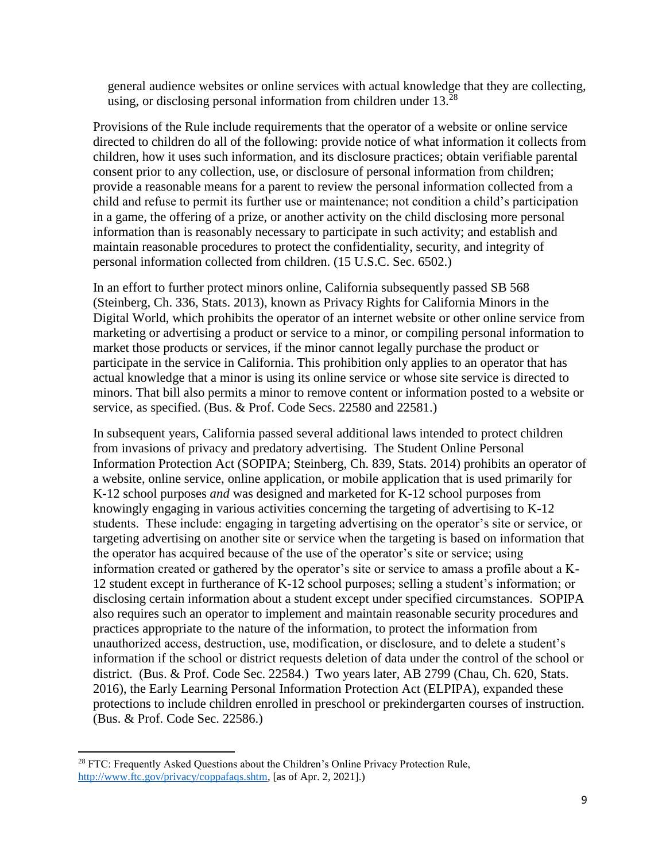general audience websites or online services with actual knowledge that they are collecting, using, or disclosing personal information from children under 13.<sup>28</sup>

Provisions of the Rule include requirements that the operator of a website or online service directed to children do all of the following: provide notice of what information it collects from children, how it uses such information, and its disclosure practices; obtain verifiable parental consent prior to any collection, use, or disclosure of personal information from children; provide a reasonable means for a parent to review the personal information collected from a child and refuse to permit its further use or maintenance; not condition a child's participation in a game, the offering of a prize, or another activity on the child disclosing more personal information than is reasonably necessary to participate in such activity; and establish and maintain reasonable procedures to protect the confidentiality, security, and integrity of personal information collected from children. (15 U.S.C. Sec. 6502.)

In an effort to further protect minors online, California subsequently passed SB 568 (Steinberg, Ch. 336, Stats. 2013), known as Privacy Rights for California Minors in the Digital World, which prohibits the operator of an internet website or other online service from marketing or advertising a product or service to a minor, or compiling personal information to market those products or services, if the minor cannot legally purchase the product or participate in the service in California. This prohibition only applies to an operator that has actual knowledge that a minor is using its online service or whose site service is directed to minors. That bill also permits a minor to remove content or information posted to a website or service, as specified. (Bus. & Prof. Code Secs. 22580 and 22581.)

In subsequent years, California passed several additional laws intended to protect children from invasions of privacy and predatory advertising. The Student Online Personal Information Protection Act (SOPIPA; Steinberg, Ch. 839, Stats. 2014) prohibits an operator of a website, online service, online application, or mobile application that is used primarily for K-12 school purposes *and* was designed and marketed for K-12 school purposes from knowingly engaging in various activities concerning the targeting of advertising to K-12 students. These include: engaging in targeting advertising on the operator's site or service, or targeting advertising on another site or service when the targeting is based on information that the operator has acquired because of the use of the operator's site or service; using information created or gathered by the operator's site or service to amass a profile about a K-12 student except in furtherance of K-12 school purposes; selling a student's information; or disclosing certain information about a student except under specified circumstances. SOPIPA also requires such an operator to implement and maintain reasonable security procedures and practices appropriate to the nature of the information, to protect the information from unauthorized access, destruction, use, modification, or disclosure, and to delete a student's information if the school or district requests deletion of data under the control of the school or district. (Bus. & Prof. Code Sec. 22584.) Two years later, AB 2799 (Chau, Ch. 620, Stats. 2016), the Early Learning Personal Information Protection Act (ELPIPA), expanded these protections to include children enrolled in preschool or prekindergarten courses of instruction. (Bus. & Prof. Code Sec. 22586.)

 $\overline{a}$ 

<sup>&</sup>lt;sup>28</sup> FTC: Frequently Asked Questions about the Children's Online Privacy Protection Rule, [http://www.ftc.gov/privacy/coppafaqs.shtm,](http://www.ftc.gov/privacy/coppafaqs.shtm) [as of Apr. 2, 2021].)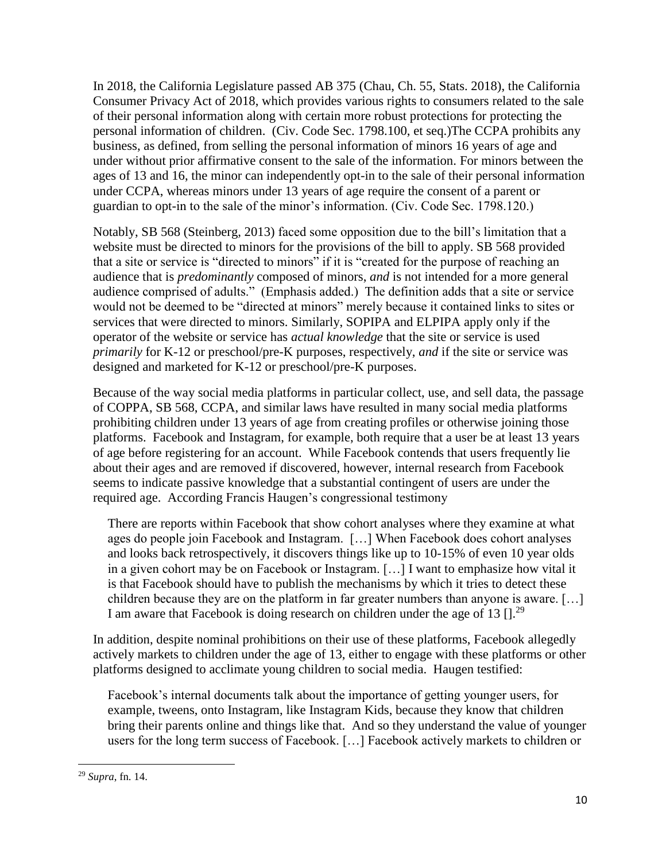In 2018, the California Legislature passed AB 375 (Chau, Ch. 55, Stats. 2018), the California Consumer Privacy Act of 2018, which provides various rights to consumers related to the sale of their personal information along with certain more robust protections for protecting the personal information of children. (Civ. Code Sec. 1798.100, et seq.)The CCPA prohibits any business, as defined, from selling the personal information of minors 16 years of age and under without prior affirmative consent to the sale of the information. For minors between the ages of 13 and 16, the minor can independently opt-in to the sale of their personal information under CCPA, whereas minors under 13 years of age require the consent of a parent or guardian to opt-in to the sale of the minor's information. (Civ. Code Sec. 1798.120.)

Notably, SB 568 (Steinberg, 2013) faced some opposition due to the bill's limitation that a website must be directed to minors for the provisions of the bill to apply. SB 568 provided that a site or service is "directed to minors" if it is "created for the purpose of reaching an audience that is *predominantly* composed of minors, *and* is not intended for a more general audience comprised of adults." (Emphasis added.) The definition adds that a site or service would not be deemed to be "directed at minors" merely because it contained links to sites or services that were directed to minors. Similarly, SOPIPA and ELPIPA apply only if the operator of the website or service has *actual knowledge* that the site or service is used *primarily* for K-12 or preschool/pre-K purposes, respectively, *and* if the site or service was designed and marketed for K-12 or preschool/pre-K purposes.

Because of the way social media platforms in particular collect, use, and sell data, the passage of COPPA, SB 568, CCPA, and similar laws have resulted in many social media platforms prohibiting children under 13 years of age from creating profiles or otherwise joining those platforms. Facebook and Instagram, for example, both require that a user be at least 13 years of age before registering for an account. While Facebook contends that users frequently lie about their ages and are removed if discovered, however, internal research from Facebook seems to indicate passive knowledge that a substantial contingent of users are under the required age. According Francis Haugen's congressional testimony

There are reports within Facebook that show cohort analyses where they examine at what ages do people join Facebook and Instagram. […] When Facebook does cohort analyses and looks back retrospectively, it discovers things like up to 10-15% of even 10 year olds in a given cohort may be on Facebook or Instagram. […] I want to emphasize how vital it is that Facebook should have to publish the mechanisms by which it tries to detect these children because they are on the platform in far greater numbers than anyone is aware. […] I am aware that Facebook is doing research on children under the age of 13  $[1, 29]$ 

In addition, despite nominal prohibitions on their use of these platforms, Facebook allegedly actively markets to children under the age of 13, either to engage with these platforms or other platforms designed to acclimate young children to social media. Haugen testified:

Facebook's internal documents talk about the importance of getting younger users, for example, tweens, onto Instagram, like Instagram Kids, because they know that children bring their parents online and things like that. And so they understand the value of younger users for the long term success of Facebook. […] Facebook actively markets to children or

 $\overline{\phantom{a}}$ 

<sup>29</sup> *Supra*, fn. 14.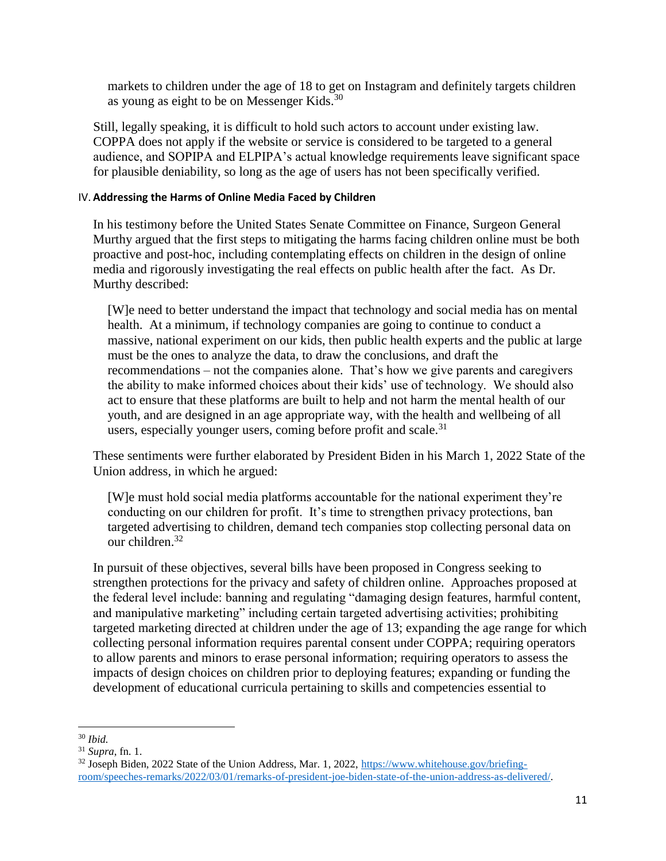markets to children under the age of 18 to get on Instagram and definitely targets children as young as eight to be on Messenger Kids.<sup>30</sup>

Still, legally speaking, it is difficult to hold such actors to account under existing law. COPPA does not apply if the website or service is considered to be targeted to a general audience, and SOPIPA and ELPIPA's actual knowledge requirements leave significant space for plausible deniability, so long as the age of users has not been specifically verified.

### IV. **Addressing the Harms of Online Media Faced by Children**

In his testimony before the United States Senate Committee on Finance, Surgeon General Murthy argued that the first steps to mitigating the harms facing children online must be both proactive and post-hoc, including contemplating effects on children in the design of online media and rigorously investigating the real effects on public health after the fact. As Dr. Murthy described:

[W]e need to better understand the impact that technology and social media has on mental health. At a minimum, if technology companies are going to continue to conduct a massive, national experiment on our kids, then public health experts and the public at large must be the ones to analyze the data, to draw the conclusions, and draft the recommendations – not the companies alone. That's how we give parents and caregivers the ability to make informed choices about their kids' use of technology. We should also act to ensure that these platforms are built to help and not harm the mental health of our youth, and are designed in an age appropriate way, with the health and wellbeing of all users, especially younger users, coming before profit and scale. $31$ 

These sentiments were further elaborated by President Biden in his March 1, 2022 State of the Union address, in which he argued:

[W]e must hold social media platforms accountable for the national experiment they're conducting on our children for profit. It's time to strengthen privacy protections, ban targeted advertising to children, demand tech companies stop collecting personal data on our children.<sup>32</sup>

In pursuit of these objectives, several bills have been proposed in Congress seeking to strengthen protections for the privacy and safety of children online. Approaches proposed at the federal level include: banning and regulating "damaging design features, harmful content, and manipulative marketing" including certain targeted advertising activities; prohibiting targeted marketing directed at children under the age of 13; expanding the age range for which collecting personal information requires parental consent under COPPA; requiring operators to allow parents and minors to erase personal information; requiring operators to assess the impacts of design choices on children prior to deploying features; expanding or funding the development of educational curricula pertaining to skills and competencies essential to

 $\overline{a}$ <sup>30</sup> *Ibid.*

<sup>31</sup> *Supra*, fn. 1.

<sup>&</sup>lt;sup>32</sup> Joseph Biden, 2022 State of the Union Address, Mar. 1, 2022, [https://www.whitehouse.gov/briefing](https://www.whitehouse.gov/briefing-room/speeches-remarks/2022/03/01/remarks-of-president-joe-biden-state-of-the-union-address-as-delivered/)[room/speeches-remarks/2022/03/01/remarks-of-president-joe-biden-state-of-the-union-address-as-delivered/.](https://www.whitehouse.gov/briefing-room/speeches-remarks/2022/03/01/remarks-of-president-joe-biden-state-of-the-union-address-as-delivered/)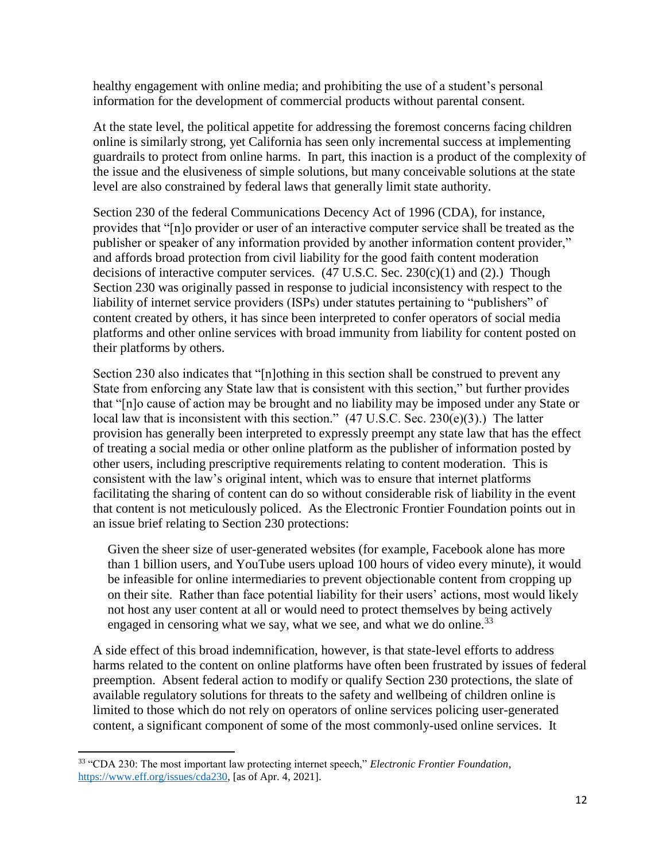healthy engagement with online media; and prohibiting the use of a student's personal information for the development of commercial products without parental consent.

At the state level, the political appetite for addressing the foremost concerns facing children online is similarly strong, yet California has seen only incremental success at implementing guardrails to protect from online harms. In part, this inaction is a product of the complexity of the issue and the elusiveness of simple solutions, but many conceivable solutions at the state level are also constrained by federal laws that generally limit state authority.

Section 230 of the federal Communications Decency Act of 1996 (CDA), for instance, provides that "[n]o provider or user of an interactive computer service shall be treated as the publisher or speaker of any information provided by another information content provider," and affords broad protection from civil liability for the good faith content moderation decisions of interactive computer services.  $(47 \text{ U.S.C.} \text{ Sec. } 230 \text{ (c)}(1) \text{ and } (2)$ . Though Section 230 was originally passed in response to judicial inconsistency with respect to the liability of internet service providers (ISPs) under statutes pertaining to "publishers" of content created by others, it has since been interpreted to confer operators of social media platforms and other online services with broad immunity from liability for content posted on their platforms by others.

Section 230 also indicates that "[n]othing in this section shall be construed to prevent any State from enforcing any State law that is consistent with this section," but further provides that "[n]o cause of action may be brought and no liability may be imposed under any State or local law that is inconsistent with this section." (47 U.S.C. Sec. 230(e)(3).) The latter provision has generally been interpreted to expressly preempt any state law that has the effect of treating a social media or other online platform as the publisher of information posted by other users, including prescriptive requirements relating to content moderation. This is consistent with the law's original intent, which was to ensure that internet platforms facilitating the sharing of content can do so without considerable risk of liability in the event that content is not meticulously policed. As the Electronic Frontier Foundation points out in an issue brief relating to Section 230 protections:

Given the sheer size of user-generated websites (for example, Facebook alone has more than 1 billion users, and YouTube users upload 100 hours of video every minute), it would be infeasible for online intermediaries to prevent objectionable content from cropping up on their site. Rather than face potential liability for their users' actions, most would likely not host any user content at all or would need to protect themselves by being actively engaged in censoring what we say, what we see, and what we do online.  $33$ 

A side effect of this broad indemnification, however, is that state-level efforts to address harms related to the content on online platforms have often been frustrated by issues of federal preemption. Absent federal action to modify or qualify Section 230 protections, the slate of available regulatory solutions for threats to the safety and wellbeing of children online is limited to those which do not rely on operators of online services policing user-generated content, a significant component of some of the most commonly-used online services. It

 $\overline{a}$ 

<sup>33</sup> "CDA 230: The most important law protecting internet speech," *Electronic Frontier Foundation*, [https://www.eff.org/issues/cda230,](https://www.eff.org/issues/cda230) [as of Apr. 4, 2021].